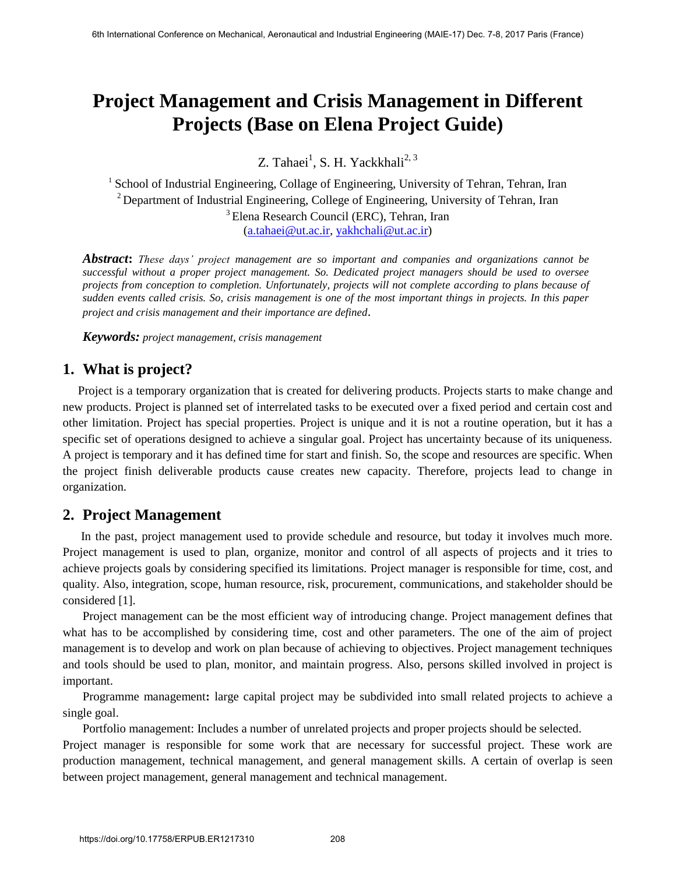# **Project Management and Crisis Management in Different Projects (Base on Elena Project Guide)**

Z. Tahaei<sup>1</sup>, S. H. Yackkhali<sup>2, 3</sup>

<sup>1</sup> School of Industrial Engineering, Collage of Engineering, University of Tehran, Tehran, Iran  $2$  Department of Industrial Engineering, College of Engineering, University of Tehran, Iran <sup>3</sup> Elena Research Council (ERC), Tehran, Iran [\(a.tahaei@ut.ac.ir,](mailto:a.tahaei@ut.ac.ir) [yakhchali@ut.ac.ir\)](mailto:yakhchali@ut.ac.ir)

*Abstract***:** *These days' project management are so important and companies and organizations cannot be successful without a proper project management. So. Dedicated project managers should be used to oversee projects from conception to completion. Unfortunately, projects will not complete according to plans because of sudden events called crisis. So, crisis management is one of the most important things in projects. In this paper project and crisis management and their importance are defined.* 

*Keywords: project management, crisis management* 

# **1. What is project?**

 Project is a temporary organization that is created for delivering products. Projects starts to make change and new products. Project is planned set of interrelated tasks to be executed over a fixed period and certain cost and other limitation. Project has special properties. Project is unique and it is not a routine operation, but it has a specific set of operations designed to achieve a singular goal. Project has uncertainty because of its uniqueness. A project is temporary and it has defined time for start and finish. So, the scope and resources are specific. When the project finish deliverable products cause creates new capacity. Therefore, projects lead to change in organization.

## **2. Project Management**

 In the past, project management used to provide schedule and resource, but today it involves much more. Project management is used to plan, organize, monitor and control of all aspects of projects and it tries to achieve projects goals by considering specified its limitations. Project manager is responsible for time, cost, and quality. Also, integration, scope, human resource, risk, procurement, communications, and stakeholder should be considered [1].

Project management can be the most efficient way of introducing change. Project management defines that what has to be accomplished by considering time, cost and other parameters. The one of the aim of project management is to develop and work on plan because of achieving to objectives. Project management techniques and tools should be used to plan, monitor, and maintain progress. Also, persons skilled involved in project is important.

Programme management**:** large capital project may be subdivided into small related projects to achieve a single goal.

Portfolio management: Includes a number of unrelated projects and proper projects should be selected.

Project manager is responsible for some work that are necessary for successful project. These work are production management, technical management, and general management skills. A certain of overlap is seen between project management, general management and technical management.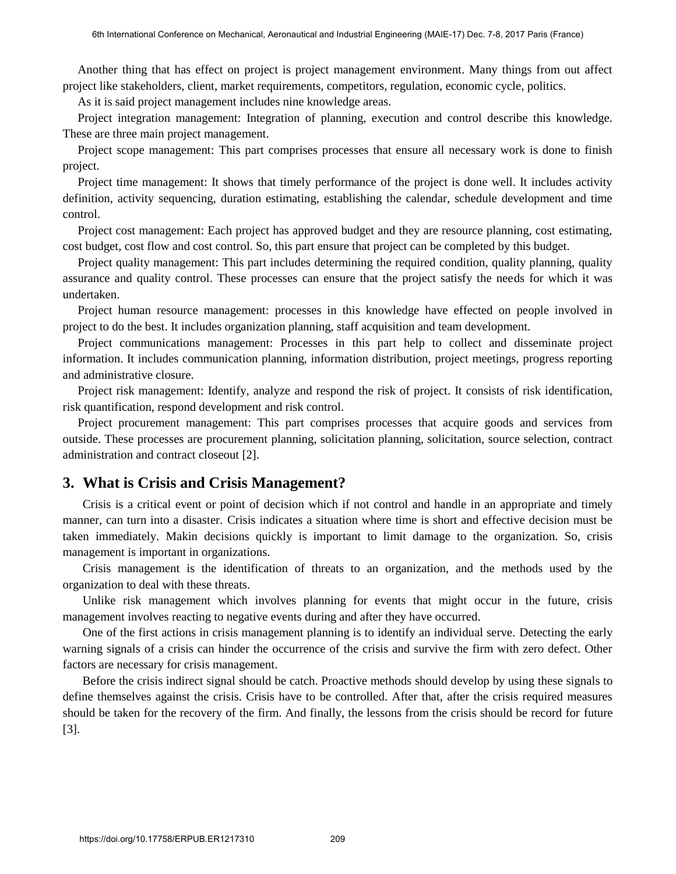Another thing that has effect on project is project management environment. Many things from out affect project like stakeholders, client, market requirements, competitors, regulation, economic cycle, politics.

As it is said project management includes nine knowledge areas.

Project integration management: Integration of planning, execution and control describe this knowledge. These are three main project management.

Project scope management: This part comprises processes that ensure all necessary work is done to finish project.

Project time management: It shows that timely performance of the project is done well. It includes activity definition, activity sequencing, duration estimating, establishing the calendar, schedule development and time control.

Project cost management: Each project has approved budget and they are resource planning, cost estimating, cost budget, cost flow and cost control. So, this part ensure that project can be completed by this budget.

Project quality management: This part includes determining the required condition, quality planning, quality assurance and quality control. These processes can ensure that the project satisfy the needs for which it was undertaken.

Project human resource management: processes in this knowledge have effected on people involved in project to do the best. It includes organization planning, staff acquisition and team development.

Project communications management: Processes in this part help to collect and disseminate project information. It includes communication planning, information distribution, project meetings, progress reporting and administrative closure.

Project risk management: Identify, analyze and respond the risk of project. It consists of risk identification, risk quantification, respond development and risk control.

Project procurement management: This part comprises processes that acquire goods and services from outside. These processes are procurement planning, solicitation planning, solicitation, source selection, contract administration and contract closeout [2].

#### **3. What is Crisis and Crisis Management?**

Crisis is a critical event or point of decision which if not control and handle in an appropriate and timely manner, can turn into a disaster. Crisis indicates a situation where time is short and effective decision must be taken immediately. Makin decisions quickly is important to limit damage to the organization. So, crisis management is important in organizations.

Crisis management is the identification of threats to an organization, and the methods used by the organization to deal with these threats.

Unlike risk management which involves planning for events that might occur in the future, crisis management involves reacting to negative events during and after they have occurred.

One of the first actions in crisis management planning is to identify an individual serve. Detecting the early warning signals of a crisis can hinder the occurrence of the crisis and survive the firm with zero defect. Other factors are necessary for crisis management.

Before the crisis indirect signal should be catch. Proactive methods should develop by using these signals to define themselves against the crisis. Crisis have to be controlled. After that, after the crisis required measures should be taken for the recovery of the firm. And finally, the lessons from the crisis should be record for future [3].